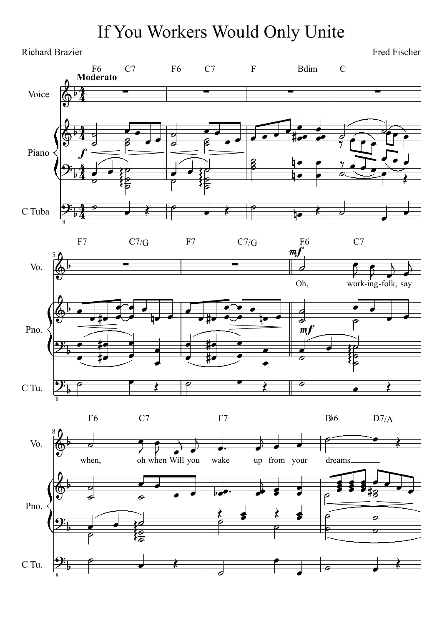## If You Workers Would Only Unite



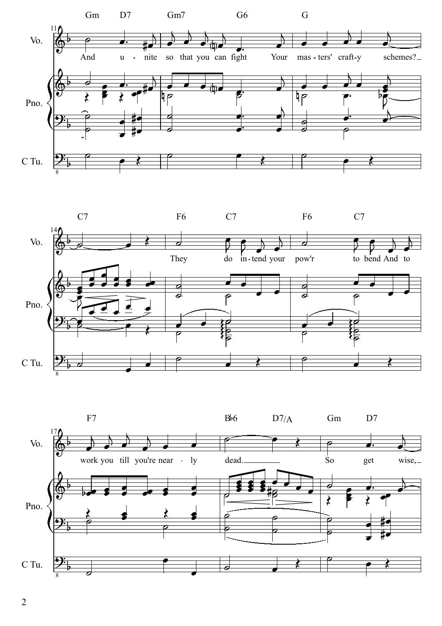



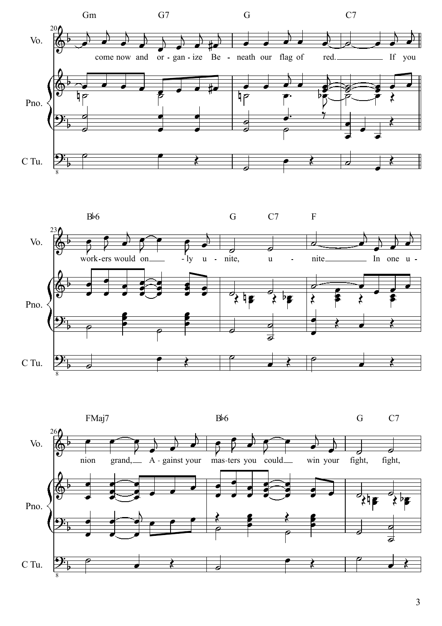



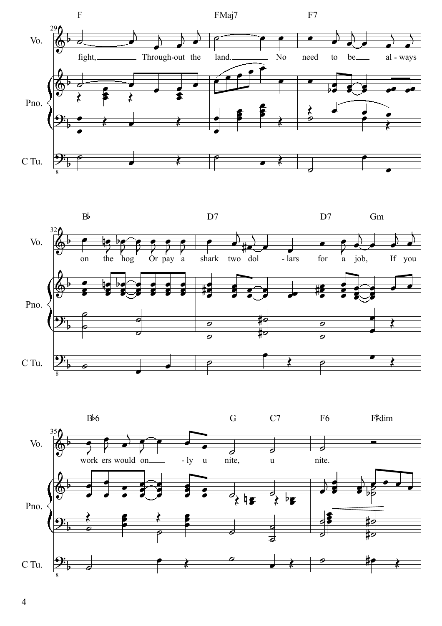



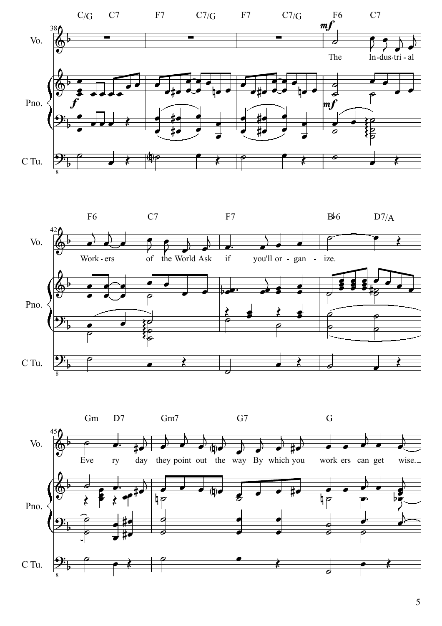



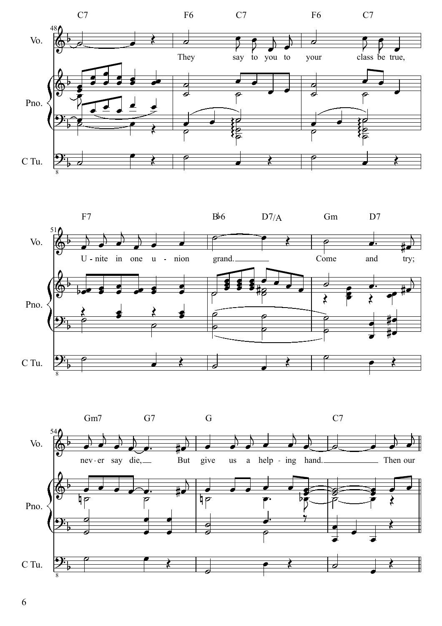



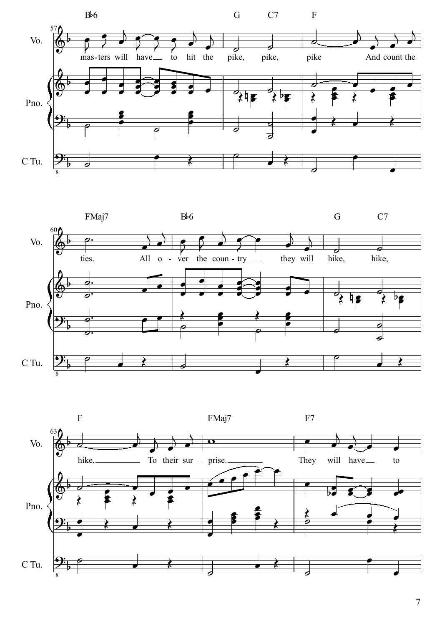